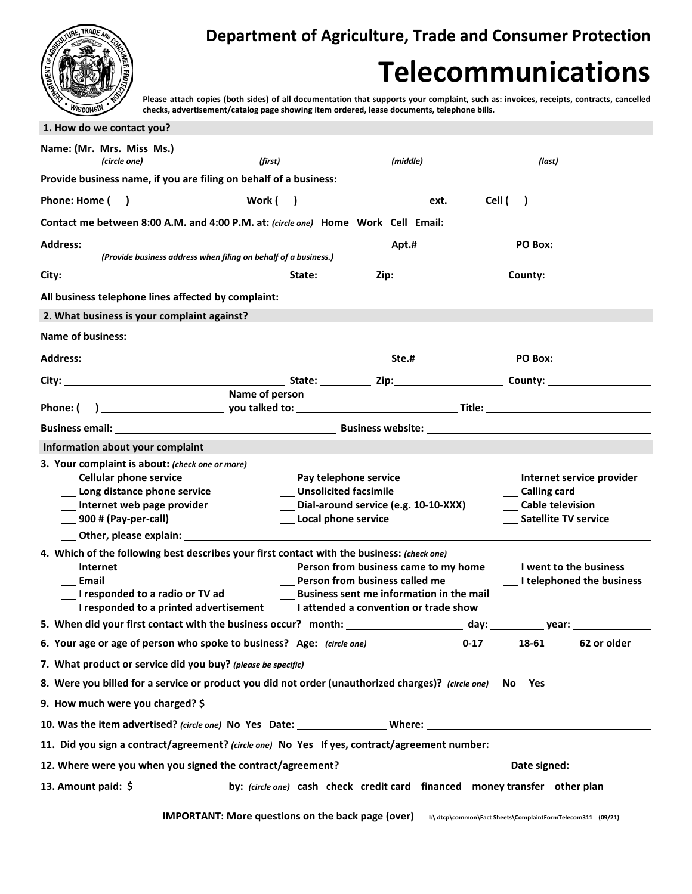## **Department of Agriculture, Trade and Consumer Protection**

## **Telecommunications**

**Please attach copies (both sides) of all documentation that supports your complaint, such as: invoices, receipts, contracts, cancelled checks, advertisement/catalog page showing item ordered, lease documents, telephone bills.**

| 1. How do we contact you?                                                                                                                                                                                                     |                                      |                                                 |                                                                                                    |
|-------------------------------------------------------------------------------------------------------------------------------------------------------------------------------------------------------------------------------|--------------------------------------|-------------------------------------------------|----------------------------------------------------------------------------------------------------|
|                                                                                                                                                                                                                               |                                      |                                                 |                                                                                                    |
| (first)<br>(circle one)                                                                                                                                                                                                       |                                      | (middle)                                        | (last)                                                                                             |
| Provide business name, if you are filing on behalf of a business: __________________________________                                                                                                                          |                                      |                                                 |                                                                                                    |
|                                                                                                                                                                                                                               |                                      |                                                 |                                                                                                    |
| Contact me between 8:00 A.M. and 4:00 P.M. at: (circle one) Home Work Cell Email: ____________________________                                                                                                                |                                      |                                                 |                                                                                                    |
| Address:                                                                                                                                                                                                                      |                                      |                                                 |                                                                                                    |
| (Provide business address when filing on behalf of a business.)                                                                                                                                                               |                                      |                                                 |                                                                                                    |
|                                                                                                                                                                                                                               |                                      |                                                 |                                                                                                    |
|                                                                                                                                                                                                                               |                                      |                                                 |                                                                                                    |
| 2. What business is your complaint against?                                                                                                                                                                                   |                                      |                                                 |                                                                                                    |
|                                                                                                                                                                                                                               |                                      |                                                 |                                                                                                    |
|                                                                                                                                                                                                                               |                                      |                                                 |                                                                                                    |
|                                                                                                                                                                                                                               |                                      |                                                 |                                                                                                    |
| Name of person                                                                                                                                                                                                                |                                      |                                                 |                                                                                                    |
| Phone: (                                                                                                                                                                                                                      |                                      |                                                 |                                                                                                    |
| Business email: No. 2006. The Business website: New York: New York: New York: New York: New York: New York: New York: New York: New York: New York: New York: New York: New York: New York: New York: New York: New York: New |                                      |                                                 |                                                                                                    |
| Information about your complaint                                                                                                                                                                                              |                                      |                                                 |                                                                                                    |
| 3. Your complaint is about: (check one or more)                                                                                                                                                                               |                                      |                                                 |                                                                                                    |
| __ Cellular phone service                                                                                                                                                                                                     | __ Pay telephone service             |                                                 | __ Internet service provider                                                                       |
| __ Long distance phone service                                                                                                                                                                                                | __ Unsolicited facsimile             |                                                 | __ Calling card                                                                                    |
| __ Internet web page provider                                                                                                                                                                                                 | Dial-around service (e.g. 10-10-XXX) |                                                 | __ Cable television                                                                                |
| $\_\_$ 900# (Pay-per-call)                                                                                                                                                                                                    | Local phone service                  |                                                 | __ Satellite TV service                                                                            |
| Other, please explain:                                                                                                                                                                                                        |                                      |                                                 |                                                                                                    |
| 4. Which of the following best describes your first contact with the business: (check one)                                                                                                                                    |                                      |                                                 |                                                                                                    |
| Internet<br>Email                                                                                                                                                                                                             |                                      | Person from business called me                  | __ Person from business came to my home ______ I went to the business<br>I telephoned the business |
| I responded to a radio or TV ad                                                                                                                                                                                               |                                      | <b>Business sent me information in the mail</b> |                                                                                                    |
| I responded to a printed advertisement Lattended a convention or trade show                                                                                                                                                   |                                      |                                                 |                                                                                                    |
| 5. When did your first contact with the business occur? month: _________________                                                                                                                                              |                                      |                                                 | day:<br>year:                                                                                      |
| 6. Your age or age of person who spoke to business? Age: (circle one)                                                                                                                                                         |                                      |                                                 | 62 or older<br>0-17<br>18-61                                                                       |
|                                                                                                                                                                                                                               |                                      |                                                 |                                                                                                    |
| 8. Were you billed for a service or product you did not order (unauthorized charges)? (circle one) No Yes                                                                                                                     |                                      |                                                 |                                                                                                    |
| 9. How much were you charged? \$                                                                                                                                                                                              |                                      |                                                 | <u> 1989 - Johann John Stone, Amerikaansk politiker († 1908)</u>                                   |
|                                                                                                                                                                                                                               |                                      |                                                 |                                                                                                    |
| 11. Did you sign a contract/agreement? (circle one) No Yes If yes, contract/agreement number:                                                                                                                                 |                                      |                                                 |                                                                                                    |
|                                                                                                                                                                                                                               |                                      |                                                 |                                                                                                    |
| 13. Amount paid: \$ ______________________ by: (circle one) cash check credit card financed money transfer other plan                                                                                                         |                                      |                                                 |                                                                                                    |
|                                                                                                                                                                                                                               |                                      |                                                 |                                                                                                    |

**IMPORTANT: More questions on the back page (over)**  $\cdot$  **btcp\common\Fact** Sheets\ComplaintFormTelecom311 (09/21)